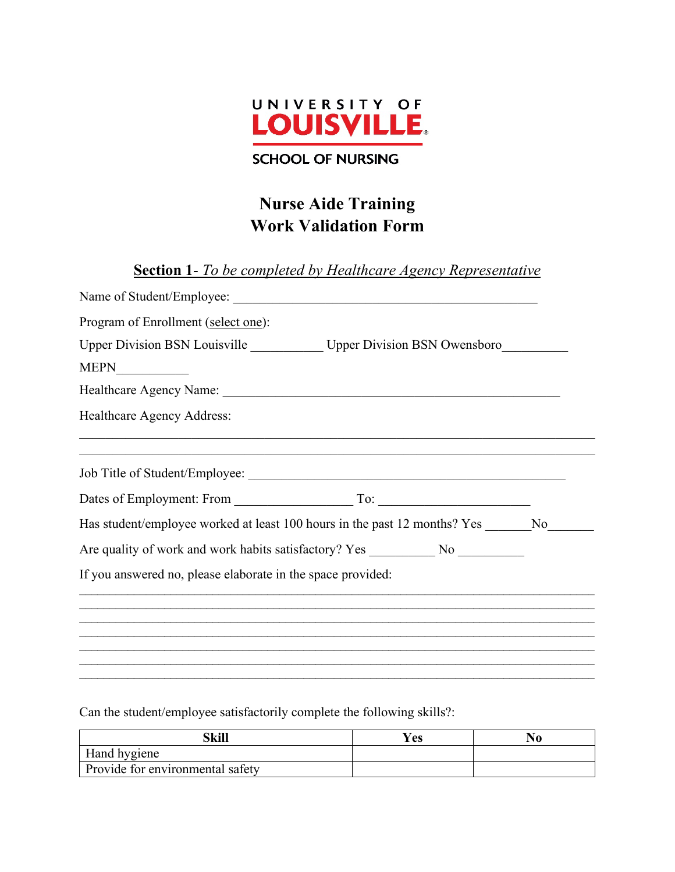

#### **SCHOOL OF NURSING**

# **Nurse Aide Training Work Validation Form**

**Section 1**- *To be completed by Healthcare Agency Representative*

| Program of Enrollment (select one):                                                                                   |
|-----------------------------------------------------------------------------------------------------------------------|
| Upper Division BSN Louisville ____________ Upper Division BSN Owensboro_________                                      |
|                                                                                                                       |
|                                                                                                                       |
| Healthcare Agency Address:                                                                                            |
| <u> 1989 - Johann John Stone, markin sanat masjid a shekara ta 1989 - An tsarat masjid a shekara ta 1980 - An tsa</u> |
|                                                                                                                       |
|                                                                                                                       |
| Has student/employee worked at least 100 hours in the past 12 months? Yes No                                          |
| Are quality of work and work habits satisfactory? Yes ___________________________                                     |
| If you answered no, please elaborate in the space provided:                                                           |
|                                                                                                                       |
|                                                                                                                       |
|                                                                                                                       |
|                                                                                                                       |

Can the student/employee satisfactorily complete the following skills?:

| Skill                            | Yes | N0 |
|----------------------------------|-----|----|
| Hand hygiene                     |     |    |
| Provide for environmental safety |     |    |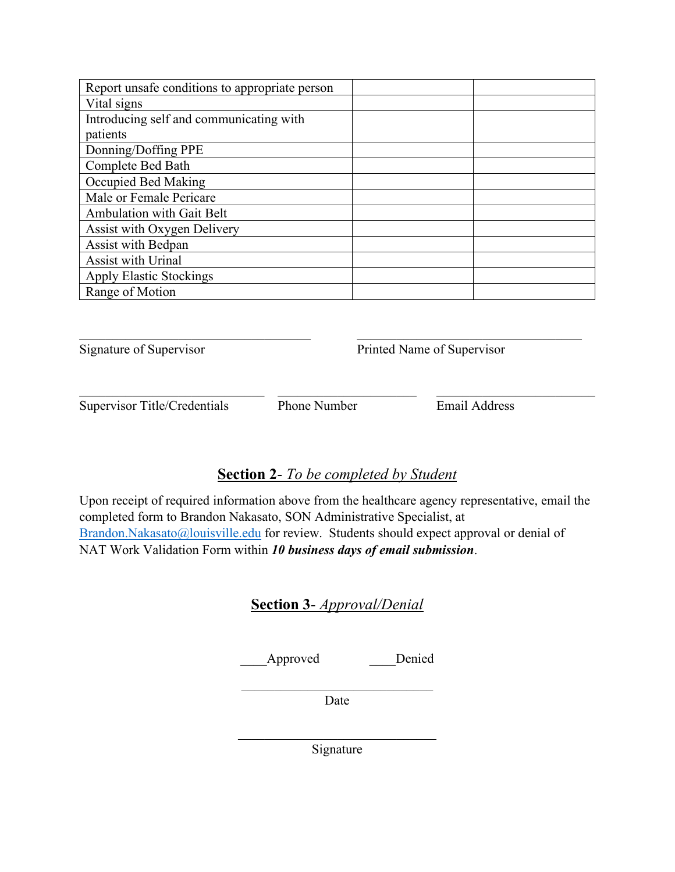| Report unsafe conditions to appropriate person |  |
|------------------------------------------------|--|
| Vital signs                                    |  |
| Introducing self and communicating with        |  |
| patients                                       |  |
| Donning/Doffing PPE                            |  |
| Complete Bed Bath                              |  |
| Occupied Bed Making                            |  |
| Male or Female Pericare                        |  |
| <b>Ambulation with Gait Belt</b>               |  |
| Assist with Oxygen Delivery                    |  |
| Assist with Bedpan                             |  |
| Assist with Urinal                             |  |
| <b>Apply Elastic Stockings</b>                 |  |
| Range of Motion                                |  |

Signature of Supervisor Printed Name of Supervisor

Supervisor Title/Credentials Phone Number Email Address

 $\mathcal{L}_\text{max}$  , and the contribution of the contribution of the contribution of the contribution of the contribution of the contribution of the contribution of the contribution of the contribution of the contribution of t

## **Section 2**- *To be completed by Student*

\_\_\_\_\_\_\_\_\_\_\_\_\_\_\_\_\_\_\_\_\_\_\_\_\_\_\_\_ \_\_\_\_\_\_\_\_\_\_\_\_\_\_\_\_\_\_\_\_\_ \_\_\_\_\_\_\_\_\_\_\_\_\_\_\_\_\_\_\_\_\_\_\_\_

Upon receipt of required information above from the healthcare agency representative, email the completed form to Brandon Nakasato, SON Administrative Specialist, at [Brandon.Nakasato@louisville.edu](mailto:Brandon.Nakasato@louisville.edu) for review. Students should expect approval or denial of NAT Work Validation Form within *10 business days of email submission*.

### **Section 3**- *Approval/Denial*

\_\_\_\_Approved \_\_\_\_Denied

Date

 $\mathcal{L}_\text{max}$  and  $\mathcal{L}_\text{max}$  and  $\mathcal{L}_\text{max}$  and  $\mathcal{L}_\text{max}$ Signature